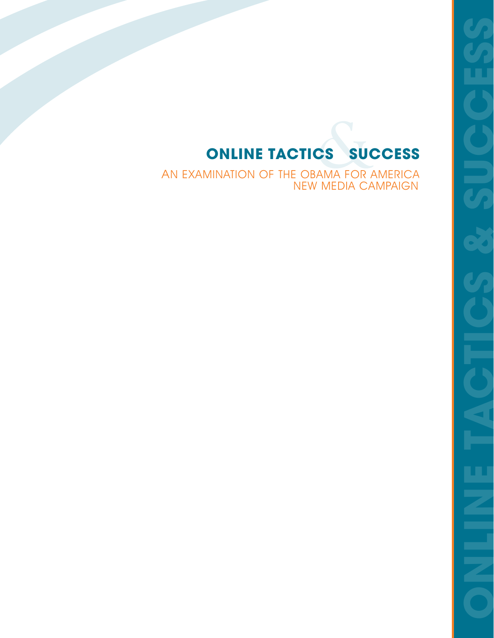# cs suc **Online Tactics Success**

An Examination of the Obama for America New Media Campaign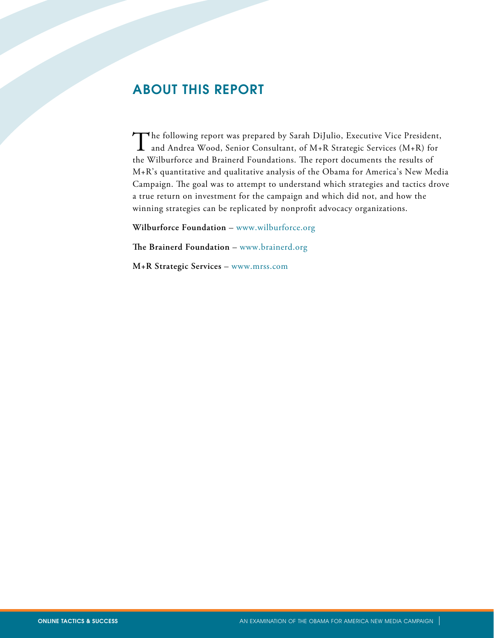# About This Report

The following report was prepared by Sarah DiJulio, Executive Vice President,<br>and Andrea Wood, Senior Consultant, of M+R Strategic Services (M+R) for the Wilburforce and Brainerd Foundations. The report documents the results of M+R's quantitative and qualitative analysis of the Obama for America's New Media Campaign. The goal was to attempt to understand which strategies and tactics drove a true return on investment for the campaign and which did not, and how the winning strategies can be replicated by nonprofit advocacy organizations.

**Wilburforce Foundation** – www.wilburforce.org

**The Brainerd Foundation** – www.brainerd.org

**M+R Strategic Services** – www.mrss.com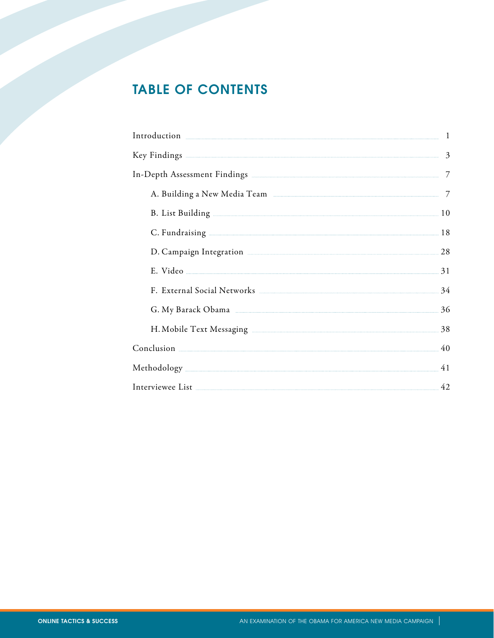# Table of Contents

| Introduction 1                                                               |  |
|------------------------------------------------------------------------------|--|
|                                                                              |  |
| In-Depth Assessment Findings <b>Construction Construction Construction</b> 7 |  |
| A. Building a New Media Team <b>Example 2018</b> 7                           |  |
|                                                                              |  |
|                                                                              |  |
| D. Campaign Integration <b>Manual Excession</b> 28                           |  |
|                                                                              |  |
|                                                                              |  |
| G. My Barack Obama 36                                                        |  |
| H. Mobile Text Messaging 28                                                  |  |
| Conclusion 40                                                                |  |
|                                                                              |  |
|                                                                              |  |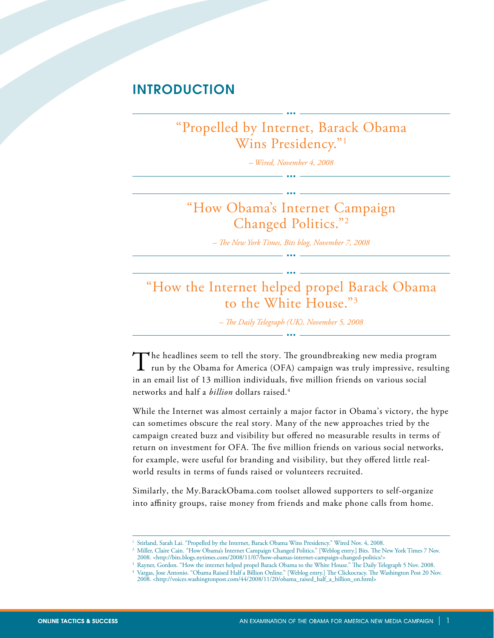## **INTRODUCTION**

# "Propelled by Internet, Barack Obama Wins Presidency."<sup>1</sup>

...

*– Wired, November 4, 2008* ...

# "How Obama's Internet Campaign Changed Politics."2

...

*– The New York Times, Bits blog, November 7, 2008*  ...

...

# "How the Internet helped propel Barack Obama to the White House."3

*– The Daily Telegraph (UK), November 5, 2008* ...

The headlines seem to tell the story. The groundbreaking new media program  $\perp$  run by the Obama for America (OFA) campaign was truly impressive, resulting in an email list of 13 million individuals, five million friends on various social networks and half a *billion* dollars raised.4

While the Internet was almost certainly a major factor in Obama's victory, the hype can sometimes obscure the real story. Many of the new approaches tried by the campaign created buzz and visibility but offered no measurable results in terms of return on investment for OFA. The five million friends on various social networks, for example, were useful for branding and visibility, but they offered little realworld results in terms of funds raised or volunteers recruited.

Similarly, the My.BarackObama.com toolset allowed supporters to self-organize into affinity groups, raise money from friends and make phone calls from home.

2 Miller, Claire Cain. "How Obama's Internet Campaign Changed Politics." [Weblog entry.] Bits. The New York Times 7 Nov. 2008. <http://bits.blogs.nytimes.com/2008/11/07/how-obamas-internet-campaign-changed-politics/>

<sup>1</sup> Stirland, Sarah Lai. "Propelled by the Internet, Barack Obama Wins Presidency." Wired Nov. 4, 2008.

<sup>&</sup>lt;sup>3</sup> Rayner, Gordon. "How the internet helped propel Barack Obama to the White House." The Daily Telegraph 5 Nov. 2008.

<sup>4</sup> Vargas, Jose Antonio. "Obama Raised Half a Billion Online." [Weblog entry.] The Clickocracy. The Washington Post 20 Nov.

<sup>2008. &</sup>lt;http://voices.washingtonpost.com/44/2008/11/20/obama\_raised\_half\_a\_billion\_on.html>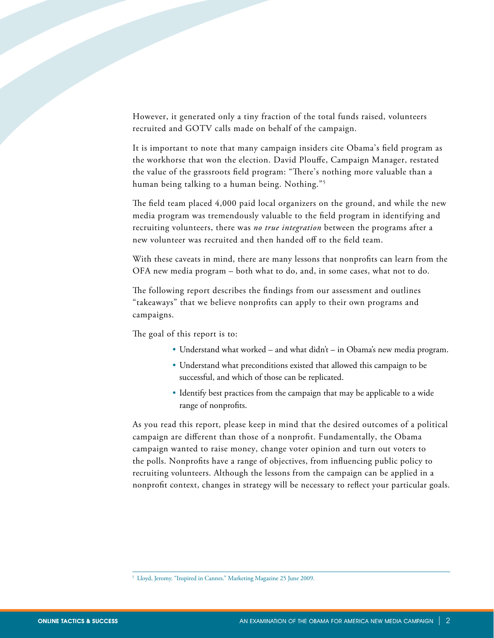However, it generated only a tiny fraction of the total funds raised, volunteers recruited and GOTV calls made on behalf of the campaign.

It is important to note that many campaign insiders cite Obama's field program as the workhorse that won the election. David Plouffe, Campaign Manager, restated the value of the grassroots field program: "There's nothing more valuable than a human being talking to a human being. Nothing."5

The field team placed 4,000 paid local organizers on the ground, and while the new media program was tremendously valuable to the field program in identifying and recruiting volunteers, there was *no true integration* between the programs after a new volunteer was recruited and then handed off to the field team.

With these caveats in mind, there are many lessons that nonprofits can learn from the OFA new media program – both what to do, and, in some cases, what not to do.

The following report describes the findings from our assessment and outlines "takeaways" that we believe nonprofits can apply to their own programs and campaigns.

The goal of this report is to:

- Understand what worked and what didn't in Obama's new media program.
- Understand what preconditions existed that allowed this campaign to be successful, and which of those can be replicated.
- Identify best practices from the campaign that may be applicable to a wide range of nonprofits.

As you read this report, please keep in mind that the desired outcomes of a political campaign are different than those of a nonprofit. Fundamentally, the Obama campaign wanted to raise money, change voter opinion and turn out voters to the polls. Nonprofits have a range of objectives, from influencing public policy to recruiting volunteers. Although the lessons from the campaign can be applied in a nonprofit context, changes in strategy will be necessary to reflect your particular goals.

<sup>5</sup> Lloyd, Jeromy. "Inspired in Cannes." Marketing Magazine 25 June 2009.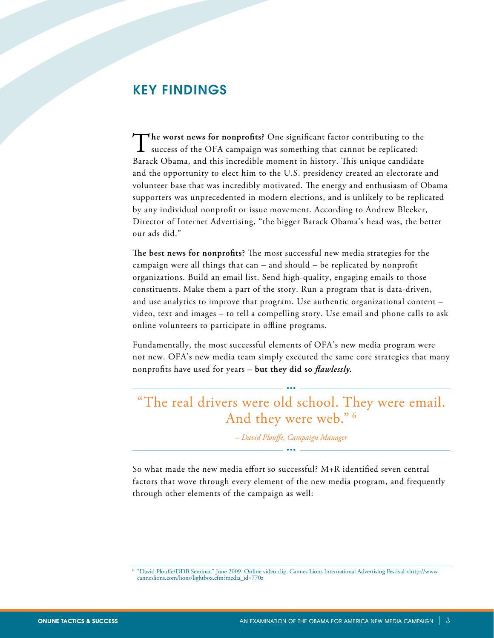# Key Findings

The worst news for nonprofits? One significant factor contributing to the success of the OFA campaign was something that cannot be replicated: Barack Obama, and this incredible moment in history. This unique candidate and the opportunity to elect him to the U.S. presidency created an electorate and volunteer base that was incredibly motivated. The energy and enthusiasm of Obama supporters was unprecedented in modern elections, and is unlikely to be replicated by any individual nonprofit or issue movement. According to Andrew Bleeker, Director of Internet Advertising, "the bigger Barack Obama's head was, the better our ads did."

**The best news for nonprofits?** The most successful new media strategies for the campaign were all things that can – and should – be replicated by nonprofit organizations. Build an email list. Send high-quality, engaging emails to those constituents. Make them a part of the story. Run a program that is data-driven, and use analytics to improve that program. Use authentic organizational content – video, text and images – to tell a compelling story. Use email and phone calls to ask online volunteers to participate in offline programs.

Fundamentally, the most successful elements of OFA's new media program were not new. OFA's new media team simply executed the same core strategies that many nonprofits have used for years – **but they did so** *flawlessly.* 

# "The real drivers were old school. They were email. And they were web." 6

...

*– David Plouffe, Campaign Manager* ...

So what made the new media effort so successful? M+R identified seven central factors that wove through every element of the new media program, and frequently through other elements of the campaign as well:

<sup>6</sup> "David Plouffe/DDB Seminar." June 2009. Online video clip. Cannes Lions International Advertising Festival <http://www. canneslions.com/lions/lightbox.cfm?media\_id=770z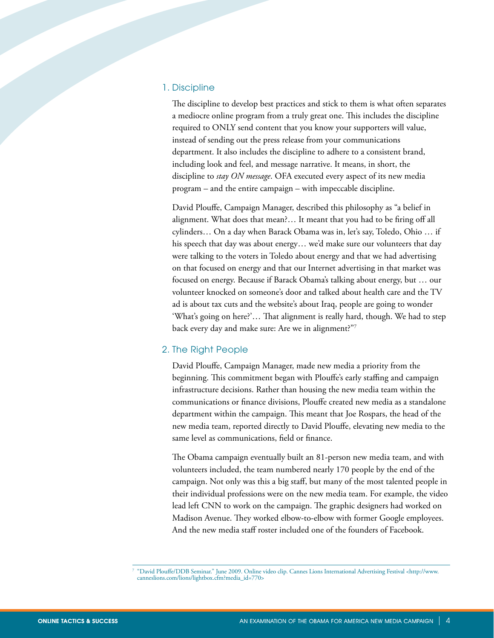### 1. Discipline

The discipline to develop best practices and stick to them is what often separates a mediocre online program from a truly great one. This includes the discipline required to ONLY send content that you know your supporters will value, instead of sending out the press release from your communications department. It also includes the discipline to adhere to a consistent brand, including look and feel, and message narrative. It means, in short, the discipline to *stay ON message*. OFA executed every aspect of its new media program – and the entire campaign – with impeccable discipline.

David Plouffe, Campaign Manager, described this philosophy as "a belief in alignment. What does that mean?… It meant that you had to be firing off all cylinders… On a day when Barack Obama was in, let's say, Toledo, Ohio … if his speech that day was about energy… we'd make sure our volunteers that day were talking to the voters in Toledo about energy and that we had advertising on that focused on energy and that our Internet advertising in that market was focused on energy. Because if Barack Obama's talking about energy, but … our volunteer knocked on someone's door and talked about health care and the TV ad is about tax cuts and the website's about Iraq, people are going to wonder 'What's going on here?'… That alignment is really hard, though. We had to step back every day and make sure: Are we in alignment?"7

### 2. The Right People

David Plouffe, Campaign Manager, made new media a priority from the beginning. This commitment began with Plouffe's early staffing and campaign infrastructure decisions. Rather than housing the new media team within the communications or finance divisions, Plouffe created new media as a standalone department within the campaign. This meant that Joe Rospars, the head of the new media team, reported directly to David Plouffe, elevating new media to the same level as communications, field or finance.

The Obama campaign eventually built an 81-person new media team, and with volunteers included, the team numbered nearly 170 people by the end of the campaign. Not only was this a big staff, but many of the most talented people in their individual professions were on the new media team. For example, the video lead left CNN to work on the campaign. The graphic designers had worked on Madison Avenue. They worked elbow-to-elbow with former Google employees. And the new media staff roster included one of the founders of Facebook.

<sup>7</sup> "David Plouffe/DDB Seminar." June 2009. Online video clip. Cannes Lions International Advertising Festival <http://www. canneslions.com/lions/lightbox.cfm?media\_id=770>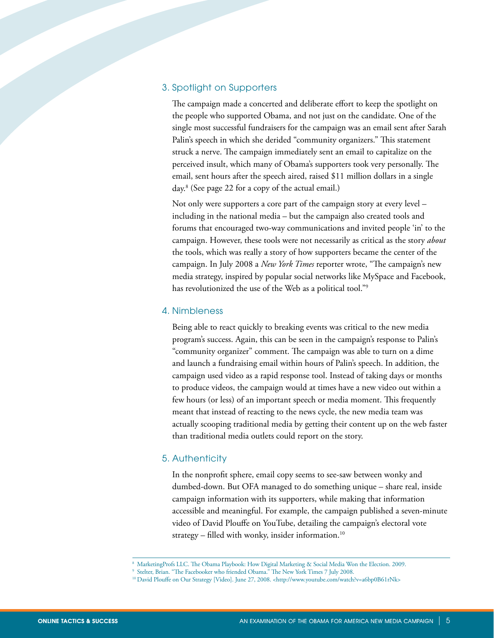### 3. Spotlight on Supporters

The campaign made a concerted and deliberate effort to keep the spotlight on the people who supported Obama, and not just on the candidate. One of the single most successful fundraisers for the campaign was an email sent after Sarah Palin's speech in which she derided "community organizers." This statement struck a nerve. The campaign immediately sent an email to capitalize on the perceived insult, which many of Obama's supporters took very personally. The email, sent hours after the speech aired, raised \$11 million dollars in a single day.8 (See page 22 for a copy of the actual email.)

Not only were supporters a core part of the campaign story at every level – including in the national media – but the campaign also created tools and forums that encouraged two-way communications and invited people 'in' to the campaign. However, these tools were not necessarily as critical as the story *about* the tools, which was really a story of how supporters became the center of the campaign. In July 2008 a *New York Times* reporter wrote, "The campaign's new media strategy, inspired by popular social networks like MySpace and Facebook, has revolutionized the use of the Web as a political tool."9

### 4. Nimbleness

Being able to react quickly to breaking events was critical to the new media program's success. Again, this can be seen in the campaign's response to Palin's "community organizer" comment. The campaign was able to turn on a dime and launch a fundraising email within hours of Palin's speech. In addition, the campaign used video as a rapid response tool. Instead of taking days or months to produce videos, the campaign would at times have a new video out within a few hours (or less) of an important speech or media moment. This frequently meant that instead of reacting to the news cycle, the new media team was actually scooping traditional media by getting their content up on the web faster than traditional media outlets could report on the story.

### 5. Authenticity

In the nonprofit sphere, email copy seems to see-saw between wonky and dumbed-down. But OFA managed to do something unique – share real, inside campaign information with its supporters, while making that information accessible and meaningful. For example, the campaign published a seven-minute video of David Plouffe on YouTube, detailing the campaign's electoral vote strategy – filled with wonky, insider information.<sup>10</sup>

<sup>8</sup> MarketingProfs LLC. The Obama Playbook: How Digital Marketing & Social Media Won the Election. 2009.

<sup>9</sup> Stelter, Brian. "The Facebooker who friended Obama." The New York Times 7 July 2008.

<sup>&</sup>lt;sup>10</sup> David Plouffe on Our Strategy [Video]. June 27, 2008. <http://www.youtube.com/watch?v=a6bp0B61rNk>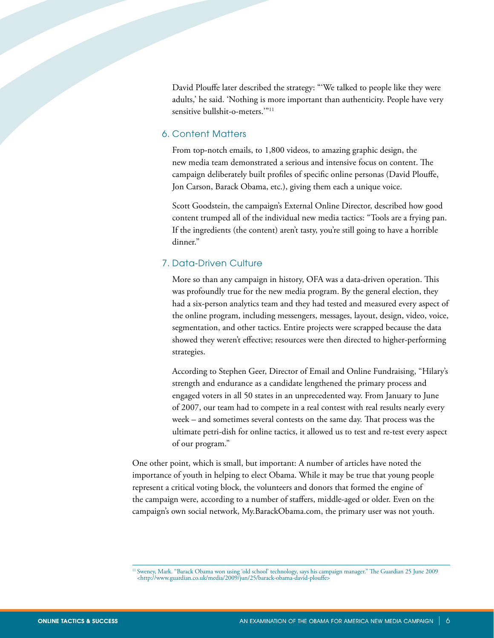David Plouffe later described the strategy: "'We talked to people like they were adults,' he said. 'Nothing is more important than authenticity. People have very sensitive bullshit-o-meters."<sup>11</sup>

### 6. Content Matters

From top-notch emails, to 1,800 videos, to amazing graphic design, the new media team demonstrated a serious and intensive focus on content. The campaign deliberately built profiles of specific online personas (David Plouffe, Jon Carson, Barack Obama, etc.), giving them each a unique voice.

Scott Goodstein, the campaign's External Online Director, described how good content trumped all of the individual new media tactics: "Tools are a frying pan. If the ingredients (the content) aren't tasty, you're still going to have a horrible dinner."

### 7. Data-Driven Culture

More so than any campaign in history, OFA was a data-driven operation. This was profoundly true for the new media program. By the general election, they had a six-person analytics team and they had tested and measured every aspect of the online program, including messengers, messages, layout, design, video, voice, segmentation, and other tactics. Entire projects were scrapped because the data showed they weren't effective; resources were then directed to higher-performing strategies.

According to Stephen Geer, Director of Email and Online Fundraising, "Hilary's strength and endurance as a candidate lengthened the primary process and engaged voters in all 50 states in an unprecedented way. From January to June of 2007, our team had to compete in a real contest with real results nearly every week – and sometimes several contests on the same day. That process was the ultimate petri-dish for online tactics, it allowed us to test and re-test every aspect of our program."

One other point, which is small, but important: A number of articles have noted the importance of youth in helping to elect Obama. While it may be true that young people represent a critical voting block, the volunteers and donors that formed the engine of the campaign were, according to a number of staffers, middle-aged or older. Even on the campaign's own social network, My.BarackObama.com, the primary user was not youth.

<sup>11</sup> Sweney, Mark. "Barack Obama won using 'old school' technology, says his campaign manager." The Guardian 25 June 2009 <http://www.guardian.co.uk/media/2009/jun/25/barack-obama-david-plouffe>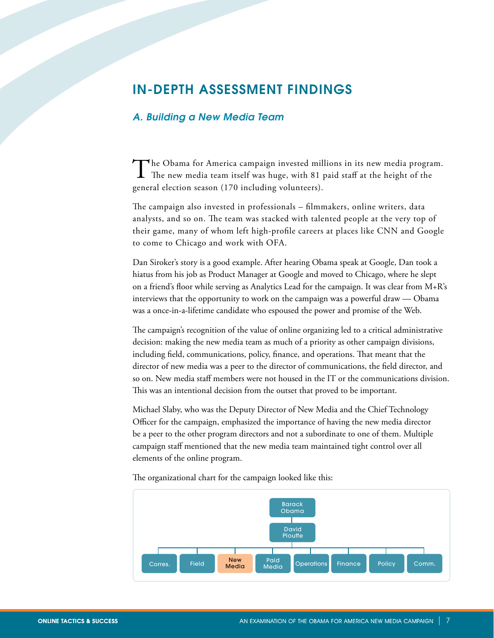# In-Depth Assessment Findings

### *A. Building a New Media Team*

The Obama for America campaign invested millions in its new media program.<br>The new media team itself was huge, with 81 paid staff at the height of the general election season (170 including volunteers).

The campaign also invested in professionals – filmmakers, online writers, data analysts, and so on. The team was stacked with talented people at the very top of their game, many of whom left high-profile careers at places like CNN and Google to come to Chicago and work with OFA.

Dan Siroker's story is a good example. After hearing Obama speak at Google, Dan took a hiatus from his job as Product Manager at Google and moved to Chicago, where he slept on a friend's floor while serving as Analytics Lead for the campaign. It was clear from M+R's interviews that the opportunity to work on the campaign was a powerful draw — Obama was a once-in-a-lifetime candidate who espoused the power and promise of the Web.

The campaign's recognition of the value of online organizing led to a critical administrative decision: making the new media team as much of a priority as other campaign divisions, including field, communications, policy, finance, and operations. That meant that the director of new media was a peer to the director of communications, the field director, and so on. New media staff members were not housed in the IT or the communications division. This was an intentional decision from the outset that proved to be important.

Michael Slaby, who was the Deputy Director of New Media and the Chief Technology Officer for the campaign, emphasized the importance of having the new media director be a peer to the other program directors and not a subordinate to one of them. Multiple campaign staff mentioned that the new media team maintained tight control over all elements of the online program.

The organizational chart for the campaign looked like this:

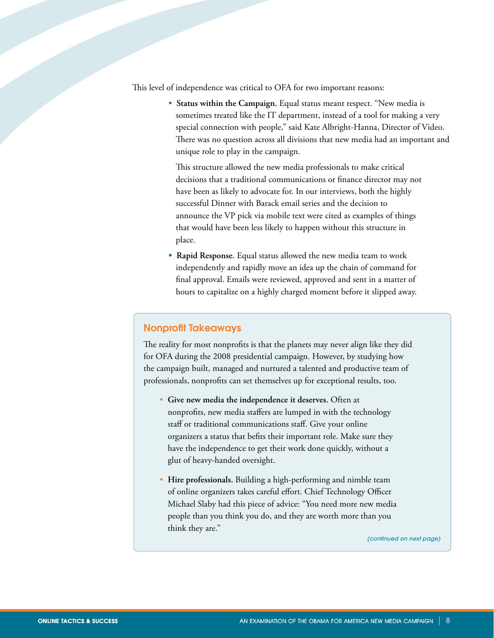This level of independence was critical to OFA for two important reasons:

• **Status within the Campaign.** Equal status meant respect. "New media is sometimes treated like the IT department, instead of a tool for making a very special connection with people," said Kate Albright-Hanna, Director of Video. There was no question across all divisions that new media had an important and unique role to play in the campaign.

This structure allowed the new media professionals to make critical decisions that a traditional communications or finance director may not have been as likely to advocate for. In our interviews, both the highly successful Dinner with Barack email series and the decision to announce the VP pick via mobile text were cited as examples of things that would have been less likely to happen without this structure in place.

**• Rapid Response.** Equal status allowed the new media team to work independently and rapidly move an idea up the chain of command for final approval. Emails were reviewed, approved and sent in a matter of hours to capitalize on a highly charged moment before it slipped away.

### Nonprofit Takeaways

The reality for most nonprofits is that the planets may never align like they did for OFA during the 2008 presidential campaign. However, by studying how the campaign built, managed and nurtured a talented and productive team of professionals, nonprofits can set themselves up for exceptional results, too.

- **Give new media the independence it deserves.** Often at nonprofits, new media staffers are lumped in with the technology staff or traditional communications staff. Give your online organizers a status that befits their important role. Make sure they have the independence to get their work done quickly, without a glut of heavy-handed oversight.
- **Hire professionals.** Building a high-performing and nimble team of online organizers takes careful effort. Chief Technology Officer Michael Slaby had this piece of advice: "You need more new media people than you think you do, and they are worth more than you think they are."

*(continued on next page)*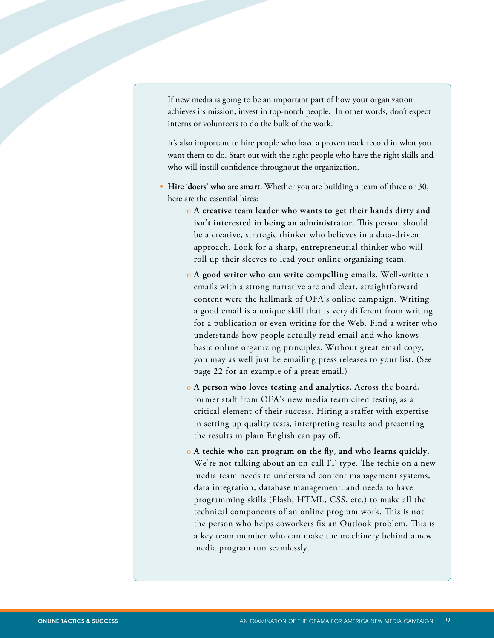If new media is going to be an important part of how your organization achieves its mission, invest in top-notch people. In other words, don't expect interns or volunteers to do the bulk of the work.

 It's also important to hire people who have a proven track record in what you want them to do. Start out with the right people who have the right skills and who will instill confidence throughout the organization.

- **Hire 'doers' who are smart.** Whether you are building a team of three or 30, here are the essential hires:
	- o **A creative team leader who wants to get their hands dirty and isn't interested in being an administrator.** This person should be a creative, strategic thinker who believes in a data-driven approach. Look for a sharp, entrepreneurial thinker who will roll up their sleeves to lead your online organizing team.
	- o **A good writer who can write compelling emails.** Well-written emails with a strong narrative arc and clear, straightforward content were the hallmark of OFA's online campaign. Writing a good email is a unique skill that is very different from writing for a publication or even writing for the Web. Find a writer who understands how people actually read email and who knows basic online organizing principles. Without great email copy, you may as well just be emailing press releases to your list. (See page 22 for an example of a great email.)
	- o **A person who loves testing and analytics.** Across the board, former staff from OFA's new media team cited testing as a critical element of their success. Hiring a staffer with expertise in setting up quality tests, interpreting results and presenting the results in plain English can pay off.
	- o **A techie who can program on the fly, and who learns quickly.**  We're not talking about an on-call IT-type. The techie on a new media team needs to understand content management systems, data integration, database management, and needs to have programming skills (Flash, HTML, CSS, etc.) to make all the technical components of an online program work. This is not the person who helps coworkers fix an Outlook problem. This is a key team member who can make the machinery behind a new media program run seamlessly.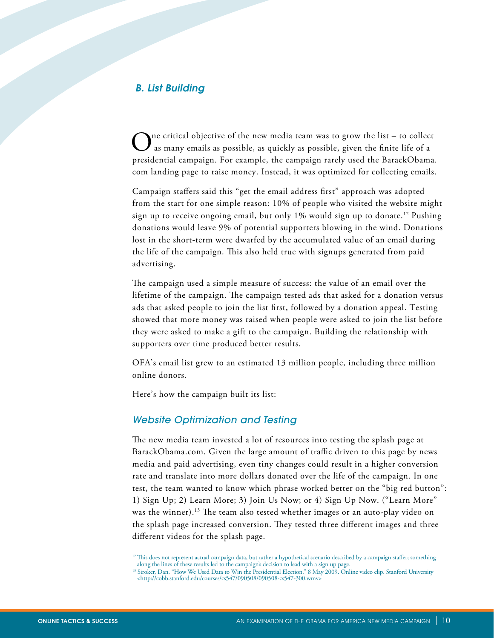### *B. List Building*

 $\sum$  as many emails as possible, as quickly as possible, given the finite life of a set of a set of a set of a set of  $\frac{1}{2}$ . presidential campaign. For example, the campaign rarely used the BarackObama. com landing page to raise money. Instead, it was optimized for collecting emails.

Campaign staffers said this "get the email address first" approach was adopted from the start for one simple reason: 10% of people who visited the website might sign up to receive ongoing email, but only  $1\%$  would sign up to donate.<sup>12</sup> Pushing donations would leave 9% of potential supporters blowing in the wind. Donations lost in the short-term were dwarfed by the accumulated value of an email during the life of the campaign. This also held true with signups generated from paid advertising.

The campaign used a simple measure of success: the value of an email over the lifetime of the campaign. The campaign tested ads that asked for a donation versus ads that asked people to join the list first, followed by a donation appeal. Testing showed that more money was raised when people were asked to join the list before they were asked to make a gift to the campaign. Building the relationship with supporters over time produced better results.

OFA's email list grew to an estimated 13 million people, including three million online donors.

Here's how the campaign built its list:

### *Website Optimization and Testing*

The new media team invested a lot of resources into testing the splash page at BarackObama.com. Given the large amount of traffic driven to this page by news media and paid advertising, even tiny changes could result in a higher conversion rate and translate into more dollars donated over the life of the campaign. In one test, the team wanted to know which phrase worked better on the "big red button": 1) Sign Up; 2) Learn More; 3) Join Us Now; or 4) Sign Up Now. ("Learn More" was the winner).<sup>13</sup> The team also tested whether images or an auto-play video on the splash page increased conversion. They tested three different images and three different videos for the splash page.

<sup>&</sup>lt;sup>12</sup>This does not represent actual campaign data, but rather a hypothetical scenario described by a campaign staffer; something along the lines of these results led to the campaign's decision to lead with a sign up page.

<sup>&</sup>lt;sup>13</sup> Siroker, Dan. "How We Used Data to Win the Presidential Election." 8 May 2009. Online video clip. Stanford University <http://cobb.stanford.edu/courses/cs547/090508/090508-cs547-300.wmv>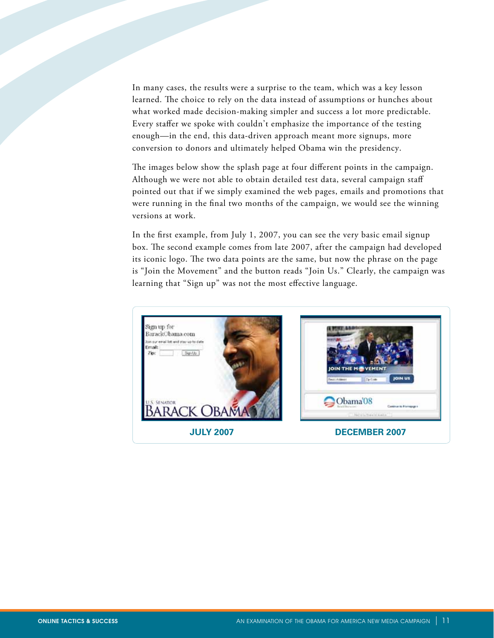In many cases, the results were a surprise to the team, which was a key lesson learned. The choice to rely on the data instead of assumptions or hunches about what worked made decision-making simpler and success a lot more predictable. Every staffer we spoke with couldn't emphasize the importance of the testing enough—in the end, this data-driven approach meant more signups, more conversion to donors and ultimately helped Obama win the presidency.

The images below show the splash page at four different points in the campaign. Although we were not able to obtain detailed test data, several campaign staff pointed out that if we simply examined the web pages, emails and promotions that were running in the final two months of the campaign, we would see the winning versions at work.

In the first example, from July 1, 2007, you can see the very basic email signup box. The second example comes from late 2007, after the campaign had developed its iconic logo. The two data points are the same, but now the phrase on the page is "Join the Movement" and the button reads "Join Us." Clearly, the campaign was learning that "Sign up" was not the most effective language.

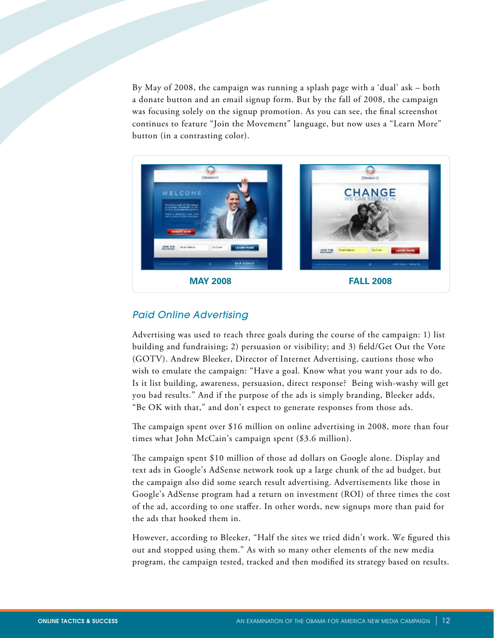By May of 2008, the campaign was running a splash page with a 'dual' ask – both a donate button and an email signup form. But by the fall of 2008, the campaign was focusing solely on the signup promotion. As you can see, the final screenshot continues to feature "Join the Movement" language, but now uses a "Learn More" button (in a contrasting color).



### *Paid Online Advertising*

Advertising was used to reach three goals during the course of the campaign: 1) list building and fundraising; 2) persuasion or visibility; and 3) field/Get Out the Vote (GOTV). Andrew Bleeker, Director of Internet Advertising, cautions those who wish to emulate the campaign: "Have a goal. Know what you want your ads to do. Is it list building, awareness, persuasion, direct response? Being wish-washy will get you bad results." And if the purpose of the ads is simply branding, Bleeker adds, "Be OK with that," and don't expect to generate responses from those ads.

The campaign spent over \$16 million on online advertising in 2008, more than four times what John McCain's campaign spent (\$3.6 million).

The campaign spent \$10 million of those ad dollars on Google alone. Display and text ads in Google's AdSense network took up a large chunk of the ad budget, but the campaign also did some search result advertising. Advertisements like those in Google's AdSense program had a return on investment (ROI) of three times the cost of the ad, according to one staffer. In other words, new signups more than paid for the ads that hooked them in.

However, according to Bleeker, "Half the sites we tried didn't work. We figured this out and stopped using them." As with so many other elements of the new media program, the campaign tested, tracked and then modified its strategy based on results.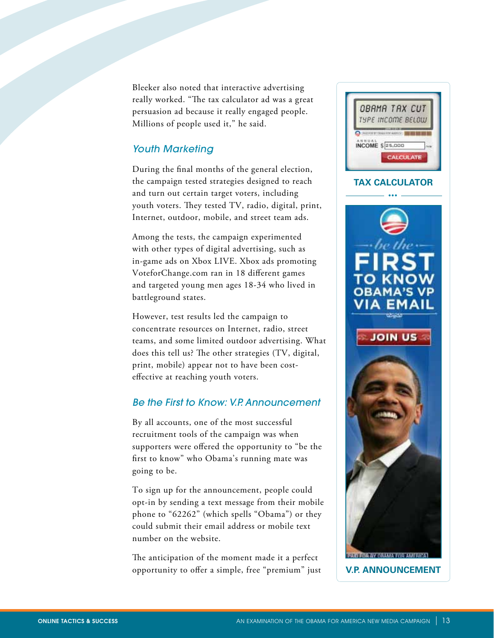Bleeker also noted that interactive advertising really worked. "The tax calculator ad was a great persuasion ad because it really engaged people. Millions of people used it," he said.

### *Youth Marketing*

During the final months of the general election, the campaign tested strategies designed to reach and turn out certain target voters, including youth voters. They tested TV, radio, digital, print, Internet, outdoor, mobile, and street team ads.

Among the tests, the campaign experimented with other types of digital advertising, such as in-game ads on Xbox LIVE. Xbox ads promoting VoteforChange.com ran in 18 different games and targeted young men ages 18-34 who lived in battleground states.

However, test results led the campaign to concentrate resources on Internet, radio, street teams, and some limited outdoor advertising. What does this tell us? The other strategies (TV, digital, print, mobile) appear not to have been costeffective at reaching youth voters.

### *Be the First to Know: V.P. Announcement*

By all accounts, one of the most successful recruitment tools of the campaign was when supporters were offered the opportunity to "be the first to know" who Obama's running mate was going to be.

To sign up for the announcement, people could opt-in by sending a text message from their mobile phone to "62262" (which spells "Obama") or they could submit their email address or mobile text number on the website.

The anticipation of the moment made it a perfect opportunity to offer a simple, free "premium" just

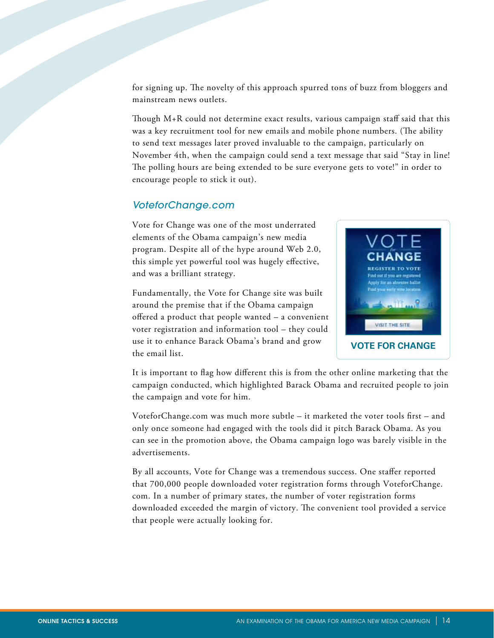for signing up. The novelty of this approach spurred tons of buzz from bloggers and mainstream news outlets.

Though M+R could not determine exact results, various campaign staff said that this was a key recruitment tool for new emails and mobile phone numbers. (The ability to send text messages later proved invaluable to the campaign, particularly on November 4th, when the campaign could send a text message that said "Stay in line! The polling hours are being extended to be sure everyone gets to vote!" in order to encourage people to stick it out).

### *VoteforChange.com*

Vote for Change was one of the most underrated elements of the Obama campaign's new media program. Despite all of the hype around Web 2.0, this simple yet powerful tool was hugely effective, and was a brilliant strategy.

Fundamentally, the Vote for Change site was built around the premise that if the Obama campaign offered a product that people wanted – a convenient voter registration and information tool – they could use it to enhance Barack Obama's brand and grow the email list.



It is important to flag how different this is from the other online marketing that the campaign conducted, which highlighted Barack Obama and recruited people to join the campaign and vote for him.

VoteforChange.com was much more subtle – it marketed the voter tools first – and only once someone had engaged with the tools did it pitch Barack Obama. As you can see in the promotion above, the Obama campaign logo was barely visible in the advertisements.

By all accounts, Vote for Change was a tremendous success. One staffer reported that 700,000 people downloaded voter registration forms through VoteforChange. com. In a number of primary states, the number of voter registration forms downloaded exceeded the margin of victory. The convenient tool provided a service that people were actually looking for.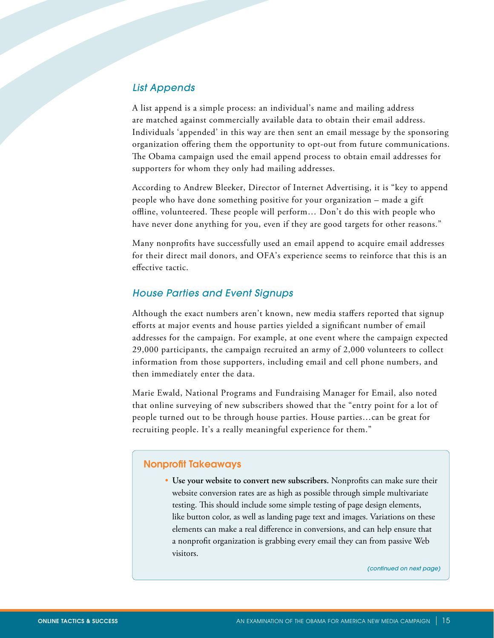### *List Appends*

A list append is a simple process: an individual's name and mailing address are matched against commercially available data to obtain their email address. Individuals 'appended' in this way are then sent an email message by the sponsoring organization offering them the opportunity to opt-out from future communications. The Obama campaign used the email append process to obtain email addresses for supporters for whom they only had mailing addresses.

According to Andrew Bleeker, Director of Internet Advertising, it is "key to append people who have done something positive for your organization – made a gift offline, volunteered. These people will perform… Don't do this with people who have never done anything for you, even if they are good targets for other reasons."

Many nonprofits have successfully used an email append to acquire email addresses for their direct mail donors, and OFA's experience seems to reinforce that this is an effective tactic.

### *House Parties and Event Signups*

Although the exact numbers aren't known, new media staffers reported that signup efforts at major events and house parties yielded a significant number of email addresses for the campaign. For example, at one event where the campaign expected 29,000 participants, the campaign recruited an army of 2,000 volunteers to collect information from those supporters, including email and cell phone numbers, and then immediately enter the data.

Marie Ewald, National Programs and Fundraising Manager for Email, also noted that online surveying of new subscribers showed that the "entry point for a lot of people turned out to be through house parties. House parties…can be great for recruiting people. It's a really meaningful experience for them."

### Nonprofit Takeaways

• **Use your website to convert new subscribers.** Nonprofits can make sure their website conversion rates are as high as possible through simple multivariate testing. This should include some simple testing of page design elements, like button color, as well as landing page text and images. Variations on these elements can make a real difference in conversions, and can help ensure that a nonprofit organization is grabbing every email they can from passive Web visitors.

*(continued on next page)*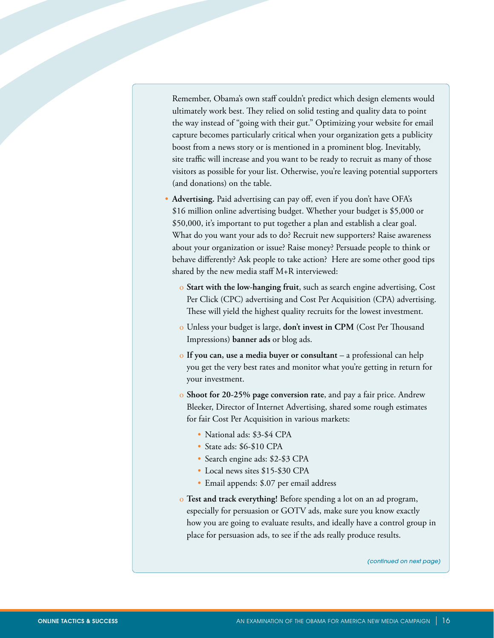Remember, Obama's own staff couldn't predict which design elements would ultimately work best. They relied on solid testing and quality data to point the way instead of "going with their gut." Optimizing your website for email capture becomes particularly critical when your organization gets a publicity boost from a news story or is mentioned in a prominent blog. Inevitably, site traffic will increase and you want to be ready to recruit as many of those visitors as possible for your list. Otherwise, you're leaving potential supporters (and donations) on the table.

- **Advertising.** Paid advertising can pay off, even if you don't have OFA's \$16 million online advertising budget. Whether your budget is \$5,000 or \$50,000, it's important to put together a plan and establish a clear goal. What do you want your ads to do? Recruit new supporters? Raise awareness about your organization or issue? Raise money? Persuade people to think or behave differently? Ask people to take action? Here are some other good tips shared by the new media staff M+R interviewed:
	- o **Start with the low-hanging fruit**, such as search engine advertising, Cost Per Click (CPC) advertising and Cost Per Acquisition (CPA) advertising. These will yield the highest quality recruits for the lowest investment.
	- o Unless your budget is large, **don't invest in CPM** (Cost Per Thousand Impressions) **banner ads** or blog ads.
	- o **If you can, use a media buyer or consultant** a professional can help you get the very best rates and monitor what you're getting in return for your investment.
	- o **Shoot for 20-25% page conversion rate**, and pay a fair price. Andrew Bleeker, Director of Internet Advertising, shared some rough estimates for fair Cost Per Acquisition in various markets:
		- National ads: \$3-\$4 CPA
		- State ads: \$6-\$10 CPA
		- Search engine ads: \$2-\$3 CPA
		- Local news sites \$15-\$30 CPA
		- Email appends: \$.07 per email address
	- o **Test and track everything!** Before spending a lot on an ad program, especially for persuasion or GOTV ads, make sure you know exactly how you are going to evaluate results, and ideally have a control group in place for persuasion ads, to see if the ads really produce results.

*(continued on next page)*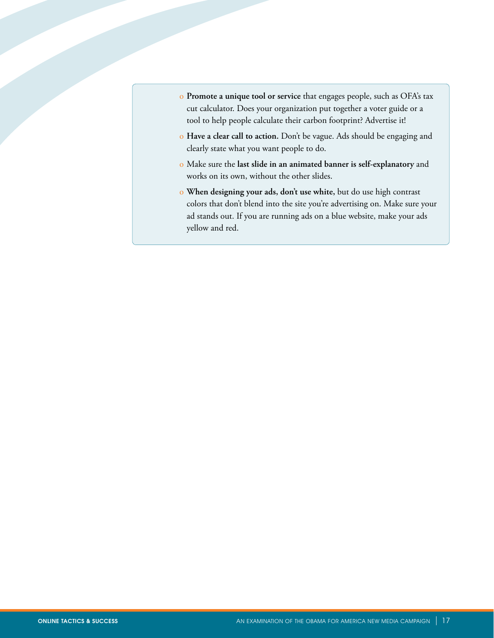- o **Promote a unique tool or service** that engages people, such as OFA's tax cut calculator. Does your organization put together a voter guide or a tool to help people calculate their carbon footprint? Advertise it!
- o **Have a clear call to action.** Don't be vague. Ads should be engaging and clearly state what you want people to do.
- o Make sure the **last slide in an animated banner is self-explanatory** and works on its own, without the other slides.
- o **When designing your ads, don't use white,** but do use high contrast colors that don't blend into the site you're advertising on. Make sure your ad stands out. If you are running ads on a blue website, make your ads yellow and red.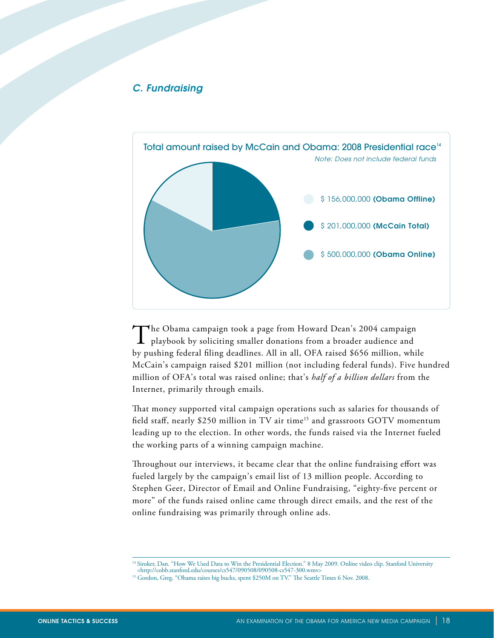### *C. Fundraising*



The Obama campaign took a page from Howard Dean's 2004 campaign<br>playbook by soliciting smaller donations from a broader audience and by pushing federal filing deadlines. All in all, OFA raised \$656 million, while McCain's campaign raised \$201 million (not including federal funds). Five hundred million of OFA's total was raised online; that's *half of a billion dollars* from the Internet, primarily through emails.

That money supported vital campaign operations such as salaries for thousands of field staff, nearly \$250 million in TV air time<sup>15</sup> and grassroots GOTV momentum leading up to the election. In other words, the funds raised via the Internet fueled the working parts of a winning campaign machine.

Throughout our interviews, it became clear that the online fundraising effort was fueled largely by the campaign's email list of 13 million people. According to Stephen Geer, Director of Email and Online Fundraising, "eighty-five percent or more" of the funds raised online came through direct emails, and the rest of the online fundraising was primarily through online ads.

<sup>&</sup>lt;sup>14</sup> Siroker, Dan. "How We Used Data to Win the Presidential Election." 8 May 2009. Online video clip. Stanford University <http://cobb.stanford.edu/courses/cs547/090508/090508-cs547-300.wmv>

<sup>&</sup>lt;sup>15</sup> Gordon, Greg. "Obama raises big bucks, spent \$250M on TV." The Seattle Times 6 Nov. 2008.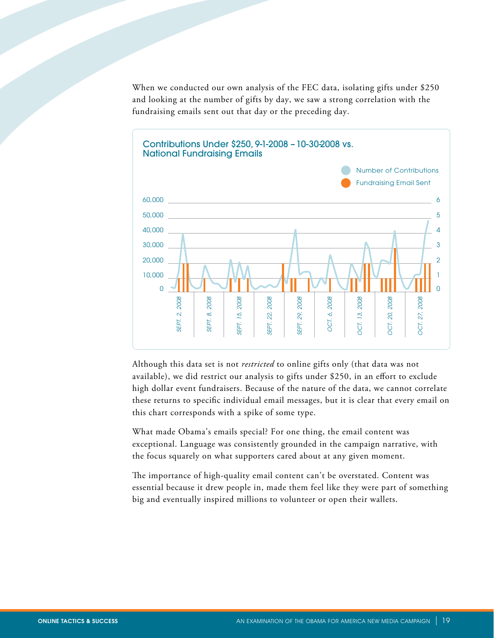When we conducted our own analysis of the FEC data, isolating gifts under \$250 and looking at the number of gifts by day, we saw a strong correlation with the fundraising emails sent out that day or the preceding day.



Although this data set is not *restricted* to online gifts only (that data was not available), we did restrict our analysis to gifts under \$250, in an effort to exclude high dollar event fundraisers. Because of the nature of the data, we cannot correlate these returns to specific individual email messages, but it is clear that every email on this chart corresponds with a spike of some type.

What made Obama's emails special? For one thing, the email content was exceptional. Language was consistently grounded in the campaign narrative, with the focus squarely on what supporters cared about at any given moment.

The importance of high-quality email content can't be overstated. Content was essential because it drew people in, made them feel like they were part of something big and eventually inspired millions to volunteer or open their wallets.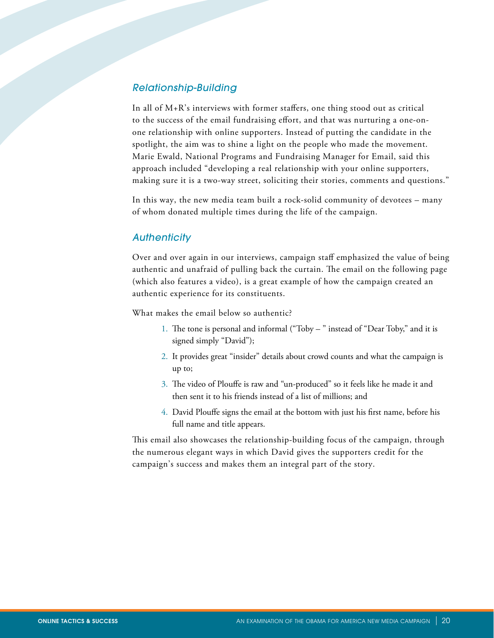### *Relationship-Building*

In all of M+R's interviews with former staffers, one thing stood out as critical to the success of the email fundraising effort, and that was nurturing a one-onone relationship with online supporters. Instead of putting the candidate in the spotlight, the aim was to shine a light on the people who made the movement. Marie Ewald, National Programs and Fundraising Manager for Email, said this approach included "developing a real relationship with your online supporters, making sure it is a two-way street, soliciting their stories, comments and questions."

In this way, the new media team built a rock-solid community of devotees – many of whom donated multiple times during the life of the campaign.

### *Authenticity*

Over and over again in our interviews, campaign staff emphasized the value of being authentic and unafraid of pulling back the curtain. The email on the following page (which also features a video), is a great example of how the campaign created an authentic experience for its constituents.

What makes the email below so authentic?

- 1. The tone is personal and informal ("Toby " instead of "Dear Toby," and it is signed simply "David");
- 2. It provides great "insider" details about crowd counts and what the campaign is up to;
- 3. The video of Plouffe is raw and "un-produced" so it feels like he made it and then sent it to his friends instead of a list of millions; and
- 4. David Plouffe signs the email at the bottom with just his first name, before his full name and title appears.

This email also showcases the relationship-building focus of the campaign, through the numerous elegant ways in which David gives the supporters credit for the campaign's success and makes them an integral part of the story.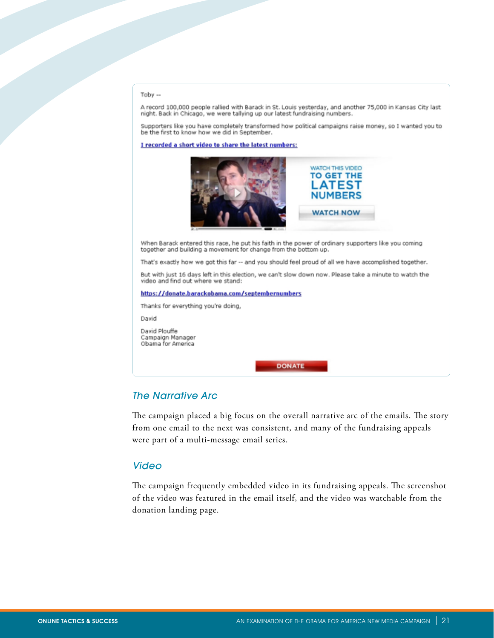$Toby -$ 

A record 100,000 people rallied with Barack in St. Louis yesterday, and another 75,000 in Kansas City last night. Back in Chicago, we were tallying up our latest fundraising numbers.

Supporters like you have completely transformed how political campaigns raise money, so I wanted you to be the first to know how we did in September.

I recorded a short video to share the latest numbers:



When Barack entered this race, he put his faith in the power of ordinary supporters like you coming together and building a movement for change from the bottom up.

That's exactly how we got this far -- and you should feel proud of all we have accomplished together.

But with just 16 days left in this election, we can't slow down now. Please take a minute to watch the video and find out where we stand:

https://donate.barackobama.com/septembernumbers

Thanks for everything you're doing,

David Plouffe Campaign Manager Obama for America

David

**DONATE** 

### *The Narrative Arc*

The campaign placed a big focus on the overall narrative arc of the emails. The story from one email to the next was consistent, and many of the fundraising appeals were part of a multi-message email series.

### *Video*

The campaign frequently embedded video in its fundraising appeals. The screenshot of the video was featured in the email itself, and the video was watchable from the donation landing page.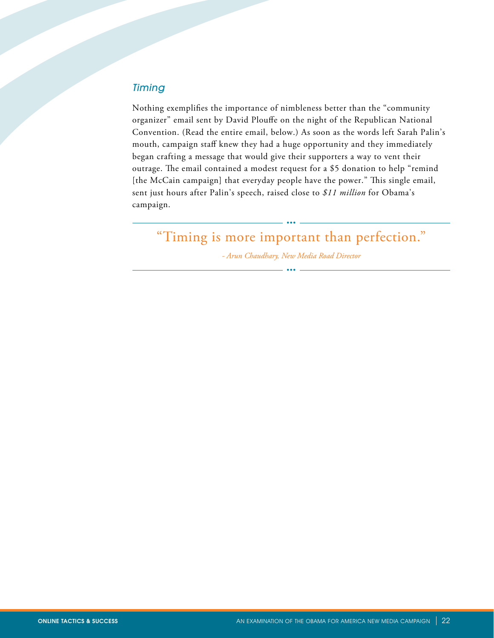### *Timing*

Nothing exemplifies the importance of nimbleness better than the "community organizer" email sent by David Plouffe on the night of the Republican National Convention. (Read the entire email, below.) As soon as the words left Sarah Palin's mouth, campaign staff knew they had a huge opportunity and they immediately began crafting a message that would give their supporters a way to vent their outrage. The email contained a modest request for a \$5 donation to help "remind [the McCain campaign] that everyday people have the power." This single email, sent just hours after Palin's speech, raised close to *\$11 million* for Obama's campaign.

# "Timing is more important than perfection."

...

*- Arun Chaudhary, New Media Road Director* ...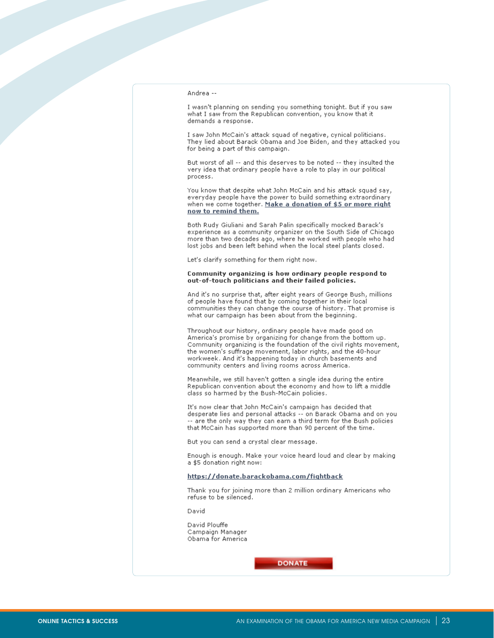#### Andrea --

I wasn't planning on sending you something tonight. But if you saw what I saw from the Republican convention, you know that it demands a response.

I saw John McCain's attack squad of negative, cynical politicians. They lied about Barack Obama and Joe Biden, and they attacked you for being a part of this campaign.

But worst of all -- and this deserves to be noted -- they insulted the very idea that ordinary people have a role to play in our political process.

You know that despite what John McCain and his attack squad say, everyday people have the power to build something extraordinary when we come together. Make a donation of \$5 or more right now to remind them.

Both Rudy Giuliani and Sarah Palin specifically mocked Barack's experience as a community organizer on the South Side of Chicago more than two decades ago, where he worked with people who had lost jobs and been left behind when the local steel plants closed.

Let's clarify something for them right now.

#### Community organizing is how ordinary people respond to out-of-touch politicians and their failed policies.

And it's no surprise that, after eight years of George Bush, millions of people have found that by coming together in their local communities they can change the course of history. That promise is what our campaign has been about from the beginning.

Throughout our history, ordinary people have made good on America's promise by organizing for change from the bottom up. Community organizing is the foundation of the civil rights movement, the women's suffrage movement, labor rights, and the 40-hour workweek. And it's happening today in church basements and community centers and living rooms across America.

Meanwhile, we still haven't gotten a single idea during the entire Republican convention about the economy and how to lift a middle class so harmed by the Bush-McCain policies.

It's now clear that John McCain's campaign has decided that desperate lies and personal attacks -- on Barack Obama and on you -- are the only way they can earn a third term for the Bush policies that McCain has supported more than 90 percent of the time.

But you can send a crystal clear message.

Enough is enough. Make your voice heard loud and clear by making a \$5 donation right now:

#### https://donate.barackobama.com/fightback

Thank you for joining more than 2 million ordinary Americans who refuse to be silenced.

David

David Plouffe Campaign Manager Obama for America

**DONATE**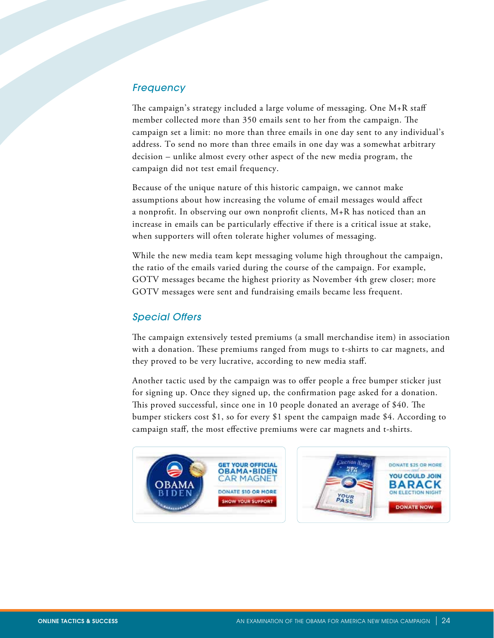### *Frequency*

The campaign's strategy included a large volume of messaging. One M+R staff member collected more than 350 emails sent to her from the campaign. The campaign set a limit: no more than three emails in one day sent to any individual's address. To send no more than three emails in one day was a somewhat arbitrary decision – unlike almost every other aspect of the new media program, the campaign did not test email frequency.

Because of the unique nature of this historic campaign, we cannot make assumptions about how increasing the volume of email messages would affect a nonprofit. In observing our own nonprofit clients, M+R has noticed than an increase in emails can be particularly effective if there is a critical issue at stake, when supporters will often tolerate higher volumes of messaging.

While the new media team kept messaging volume high throughout the campaign, the ratio of the emails varied during the course of the campaign. For example, GOTV messages became the highest priority as November 4th grew closer; more GOTV messages were sent and fundraising emails became less frequent.

### *Special Offers*

The campaign extensively tested premiums (a small merchandise item) in association with a donation. These premiums ranged from mugs to t-shirts to car magnets, and they proved to be very lucrative, according to new media staff.

Another tactic used by the campaign was to offer people a free bumper sticker just for signing up. Once they signed up, the confirmation page asked for a donation. This proved successful, since one in 10 people donated an average of \$40. The bumper stickers cost \$1, so for every \$1 spent the campaign made \$4. According to campaign staff, the most effective premiums were car magnets and t-shirts.

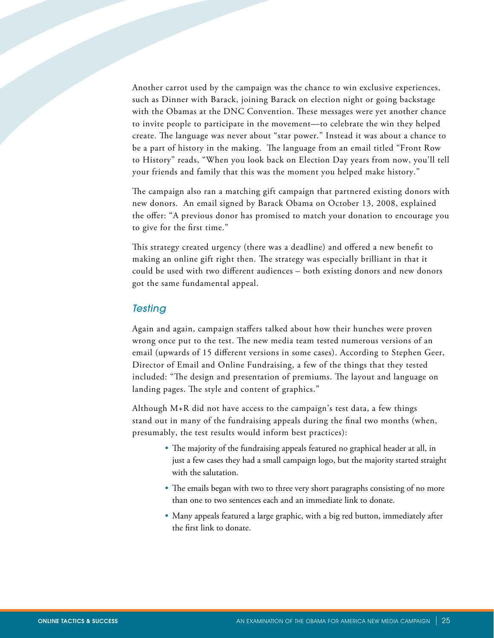Another carrot used by the campaign was the chance to win exclusive experiences, such as Dinner with Barack, joining Barack on election night or going backstage with the Obamas at the DNC Convention. These messages were yet another chance to invite people to participate in the movement—to celebrate the win they helped create. The language was never about "star power." Instead it was about a chance to be a part of history in the making. The language from an email titled "Front Row to History" reads, "When you look back on Election Day years from now, you'll tell your friends and family that this was the moment you helped make history."

The campaign also ran a matching gift campaign that partnered existing donors with new donors. An email signed by Barack Obama on October 13, 2008, explained the offer: "A previous donor has promised to match your donation to encourage you to give for the first time."

This strategy created urgency (there was a deadline) and offered a new benefit to making an online gift right then. The strategy was especially brilliant in that it could be used with two different audiences – both existing donors and new donors got the same fundamental appeal.

### *Testing*

Again and again, campaign staffers talked about how their hunches were proven wrong once put to the test. The new media team tested numerous versions of an email (upwards of 15 different versions in some cases). According to Stephen Geer, Director of Email and Online Fundraising, a few of the things that they tested included: "The design and presentation of premiums. The layout and language on landing pages. The style and content of graphics."

Although M+R did not have access to the campaign's test data, a few things stand out in many of the fundraising appeals during the final two months (when, presumably, the test results would inform best practices):

- The majority of the fundraising appeals featured no graphical header at all, in just a few cases they had a small campaign logo, but the majority started straight with the salutation.
- The emails began with two to three very short paragraphs consisting of no more than one to two sentences each and an immediate link to donate.
- Many appeals featured a large graphic, with a big red button, immediately after the first link to donate.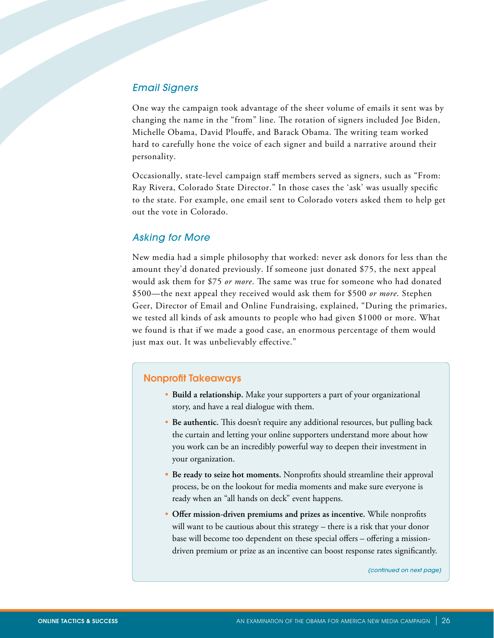### *Email Signers*

One way the campaign took advantage of the sheer volume of emails it sent was by changing the name in the "from" line. The rotation of signers included Joe Biden, Michelle Obama, David Plouffe, and Barack Obama. The writing team worked hard to carefully hone the voice of each signer and build a narrative around their personality.

Occasionally, state-level campaign staff members served as signers, such as "From: Ray Rivera, Colorado State Director." In those cases the 'ask' was usually specific to the state. For example, one email sent to Colorado voters asked them to help get out the vote in Colorado.

### *Asking for More*

New media had a simple philosophy that worked: never ask donors for less than the amount they'd donated previously. If someone just donated \$75, the next appeal would ask them for \$75 *or more*. The same was true for someone who had donated \$500—the next appeal they received would ask them for \$500 *or more*. Stephen Geer, Director of Email and Online Fundraising, explained, "During the primaries, we tested all kinds of ask amounts to people who had given \$1000 or more. What we found is that if we made a good case, an enormous percentage of them would just max out. It was unbelievably effective."

### Nonprofit Takeaways

- **Build a relationship.** Make your supporters a part of your organizational story, and have a real dialogue with them.
- **Be authentic.** This doesn't require any additional resources, but pulling back the curtain and letting your online supporters understand more about how you work can be an incredibly powerful way to deepen their investment in your organization.
- **• Be ready to seize hot moments.** Nonprofits should streamline their approval process, be on the lookout for media moments and make sure everyone is ready when an "all hands on deck" event happens.
- **Offer mission-driven premiums and prizes as incentive.** While nonprofits will want to be cautious about this strategy – there is a risk that your donor base will become too dependent on these special offers – offering a missiondriven premium or prize as an incentive can boost response rates significantly.

*(continued on next page)*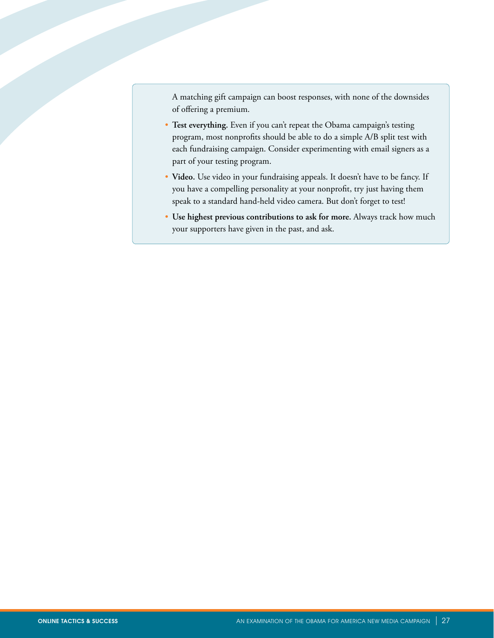A matching gift campaign can boost responses, with none of the downsides of offering a premium.

- **Test everything.** Even if you can't repeat the Obama campaign's testing program, most nonprofits should be able to do a simple A/B split test with each fundraising campaign. Consider experimenting with email signers as a part of your testing program.
- **Video.** Use video in your fundraising appeals. It doesn't have to be fancy. If you have a compelling personality at your nonprofit, try just having them speak to a standard hand-held video camera. But don't forget to test!
- **Use highest previous contributions to ask for more.** Always track how much your supporters have given in the past, and ask.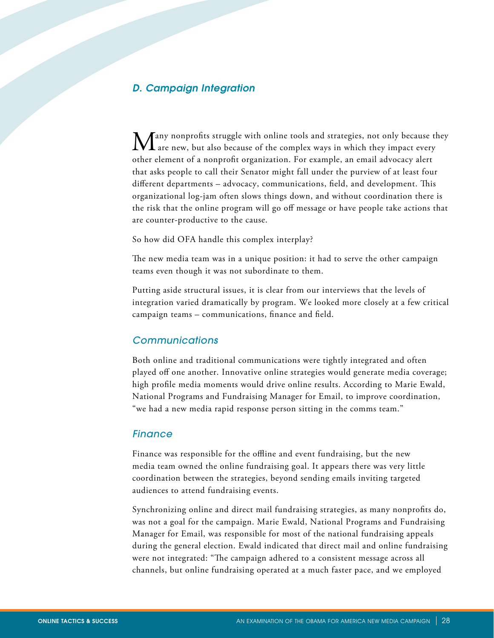### *D. Campaign Integration*

 $\mathbf{M}$ any nonprofits struggle with online tools and strategies, not only because they are new, but also because of the complex ways in which they impact every other element of a nonprofit organization. For example, an email advocacy alert that asks people to call their Senator might fall under the purview of at least four different departments – advocacy, communications, field, and development. This organizational log-jam often slows things down, and without coordination there is the risk that the online program will go off message or have people take actions that are counter-productive to the cause.

So how did OFA handle this complex interplay?

The new media team was in a unique position: it had to serve the other campaign teams even though it was not subordinate to them.

Putting aside structural issues, it is clear from our interviews that the levels of integration varied dramatically by program. We looked more closely at a few critical campaign teams – communications, finance and field.

### *Communications*

Both online and traditional communications were tightly integrated and often played off one another. Innovative online strategies would generate media coverage; high profile media moments would drive online results. According to Marie Ewald, National Programs and Fundraising Manager for Email, to improve coordination, "we had a new media rapid response person sitting in the comms team."

### *Finance*

Finance was responsible for the offline and event fundraising, but the new media team owned the online fundraising goal. It appears there was very little coordination between the strategies, beyond sending emails inviting targeted audiences to attend fundraising events.

Synchronizing online and direct mail fundraising strategies, as many nonprofits do, was not a goal for the campaign. Marie Ewald, National Programs and Fundraising Manager for Email, was responsible for most of the national fundraising appeals during the general election. Ewald indicated that direct mail and online fundraising were not integrated: "The campaign adhered to a consistent message across all channels, but online fundraising operated at a much faster pace, and we employed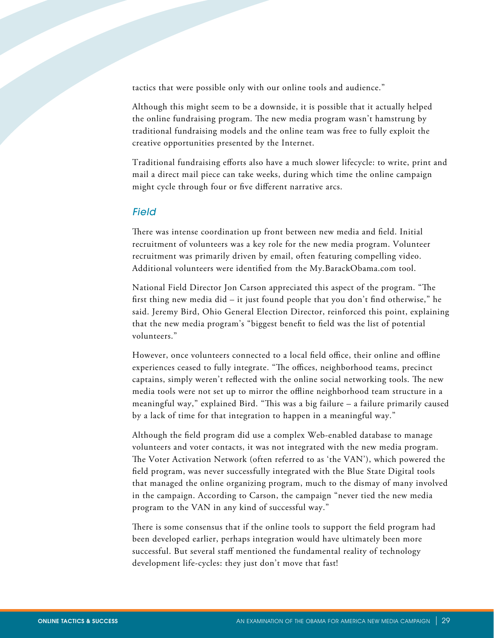tactics that were possible only with our online tools and audience."

Although this might seem to be a downside, it is possible that it actually helped the online fundraising program. The new media program wasn't hamstrung by traditional fundraising models and the online team was free to fully exploit the creative opportunities presented by the Internet.

Traditional fundraising efforts also have a much slower lifecycle: to write, print and mail a direct mail piece can take weeks, during which time the online campaign might cycle through four or five different narrative arcs.

### *Field*

There was intense coordination up front between new media and field. Initial recruitment of volunteers was a key role for the new media program. Volunteer recruitment was primarily driven by email, often featuring compelling video. Additional volunteers were identified from the My.BarackObama.com tool.

National Field Director Jon Carson appreciated this aspect of the program. "The first thing new media did – it just found people that you don't find otherwise," he said. Jeremy Bird, Ohio General Election Director, reinforced this point, explaining that the new media program's "biggest benefit to field was the list of potential volunteers."

However, once volunteers connected to a local field office, their online and offline experiences ceased to fully integrate. "The offices, neighborhood teams, precinct captains, simply weren't reflected with the online social networking tools. The new media tools were not set up to mirror the offline neighborhood team structure in a meaningful way," explained Bird. "This was a big failure – a failure primarily caused by a lack of time for that integration to happen in a meaningful way."

Although the field program did use a complex Web-enabled database to manage volunteers and voter contacts, it was not integrated with the new media program. The Voter Activation Network (often referred to as 'the VAN'), which powered the field program, was never successfully integrated with the Blue State Digital tools that managed the online organizing program, much to the dismay of many involved in the campaign. According to Carson, the campaign "never tied the new media program to the VAN in any kind of successful way."

There is some consensus that if the online tools to support the field program had been developed earlier, perhaps integration would have ultimately been more successful. But several staff mentioned the fundamental reality of technology development life-cycles: they just don't move that fast!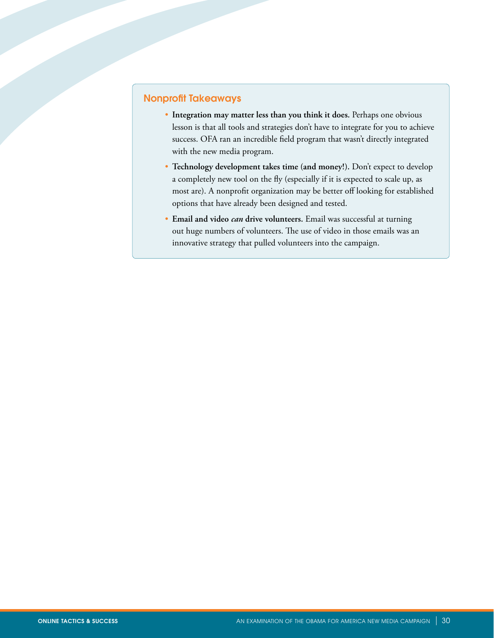### Nonprofit Takeaways

- **Integration may matter less than you think it does.** Perhaps one obvious lesson is that all tools and strategies don't have to integrate for you to achieve success. OFA ran an incredible field program that wasn't directly integrated with the new media program.
- **Technology development takes time (and money!).** Don't expect to develop a completely new tool on the fly (especially if it is expected to scale up, as most are). A nonprofit organization may be better off looking for established options that have already been designed and tested.
- **Email and video** *can* **drive volunteers.** Email was successful at turning out huge numbers of volunteers. The use of video in those emails was an innovative strategy that pulled volunteers into the campaign.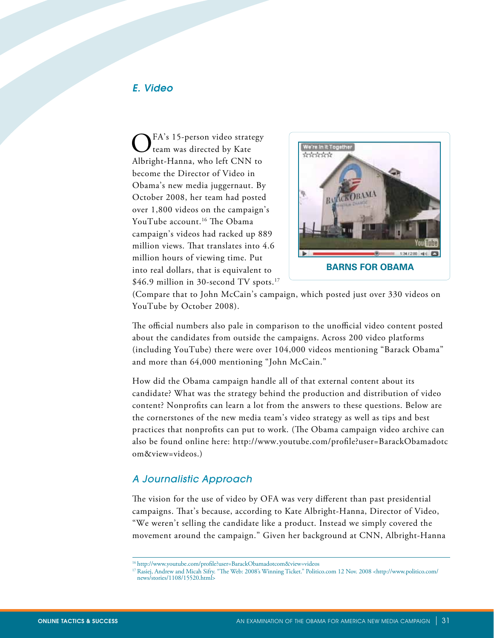### *E. Video*

FA's 15-person video strategy team was directed by Kate Albright-Hanna, who left CNN to become the Director of Video in Obama's new media juggernaut. By October 2008, her team had posted over 1,800 videos on the campaign's YouTube account.<sup>16</sup> The Obama campaign's videos had racked up 889 million views. That translates into 4.6 million hours of viewing time. Put into real dollars, that is equivalent to \$46.9 million in 30-second TV spots.<sup>17</sup>



(Compare that to John McCain's campaign, which posted just over 330 videos on YouTube by October 2008).

The official numbers also pale in comparison to the unofficial video content posted about the candidates from outside the campaigns. Across 200 video platforms (including YouTube) there were over 104,000 videos mentioning "Barack Obama" and more than 64,000 mentioning "John McCain."

How did the Obama campaign handle all of that external content about its candidate? What was the strategy behind the production and distribution of video content? Nonprofits can learn a lot from the answers to these questions. Below are the cornerstones of the new media team's video strategy as well as tips and best practices that nonprofits can put to work. (The Obama campaign video archive can also be found online here: http://www.youtube.com/profile?user=BarackObamadotc om&view=videos.)

### *A Journalistic Approach*

The vision for the use of video by OFA was very different than past presidential campaigns. That's because, according to Kate Albright-Hanna, Director of Video, "We weren't selling the candidate like a product. Instead we simply covered the movement around the campaign." Given her background at CNN, Albright-Hanna

<sup>16</sup> http://www.youtube.com/profile?user=BarackObamadotcom&view=videos

<sup>17</sup> Rasiej, Andrew and Micah Sifry. "The Web: 2008's Winning Ticket." Politico.com 12 Nov. 2008 <http://www.politico.com/ news/stories/1108/15520.html>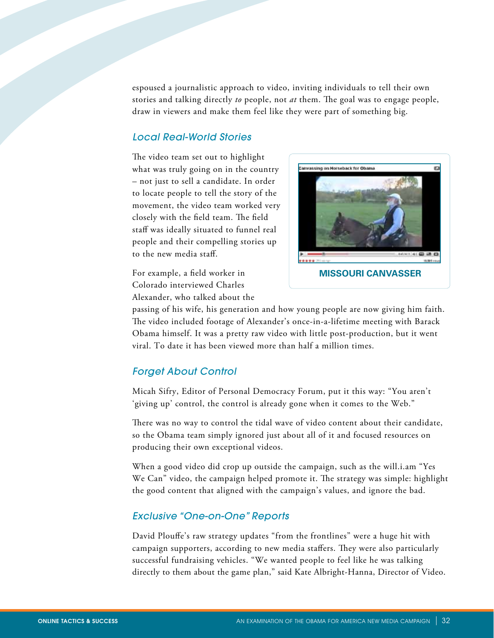espoused a journalistic approach to video, inviting individuals to tell their own stories and talking directly *to* people, not *at* them. The goal was to engage people, draw in viewers and make them feel like they were part of something big.

### *Local Real-World Stories*

The video team set out to highlight what was truly going on in the country – not just to sell a candidate. In order to locate people to tell the story of the movement, the video team worked very closely with the field team. The field staff was ideally situated to funnel real people and their compelling stories up to the new media staff.

For example, a field worker in Colorado interviewed Charles Alexander, who talked about the



passing of his wife, his generation and how young people are now giving him faith. The video included footage of Alexander's once-in-a-lifetime meeting with Barack Obama himself. It was a pretty raw video with little post-production, but it went viral. To date it has been viewed more than half a million times.

### *Forget About Control*

Micah Sifry, Editor of Personal Democracy Forum, put it this way: "You aren't 'giving up' control, the control is already gone when it comes to the Web."

There was no way to control the tidal wave of video content about their candidate, so the Obama team simply ignored just about all of it and focused resources on producing their own exceptional videos.

When a good video did crop up outside the campaign, such as the will.i.am "Yes We Can" video, the campaign helped promote it. The strategy was simple: highlight the good content that aligned with the campaign's values, and ignore the bad.

### *Exclusive "One-on-One" Reports*

David Plouffe's raw strategy updates "from the frontlines" were a huge hit with campaign supporters, according to new media staffers. They were also particularly successful fundraising vehicles. "We wanted people to feel like he was talking directly to them about the game plan," said Kate Albright-Hanna, Director of Video.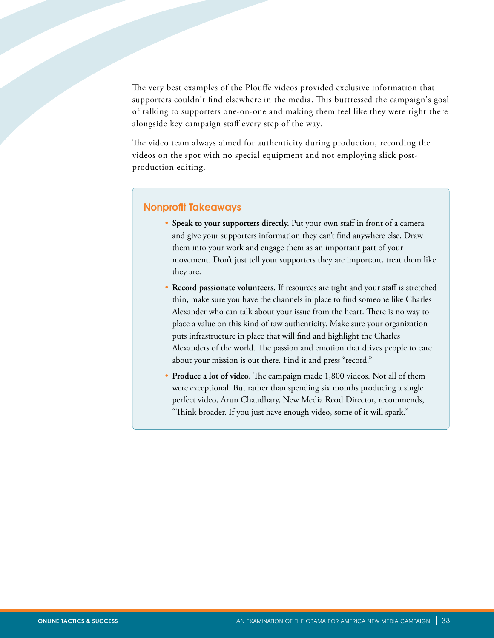The very best examples of the Plouffe videos provided exclusive information that supporters couldn't find elsewhere in the media. This buttressed the campaign's goal of talking to supporters one-on-one and making them feel like they were right there alongside key campaign staff every step of the way.

The video team always aimed for authenticity during production, recording the videos on the spot with no special equipment and not employing slick postproduction editing.

### Nonprofit Takeaways

- **Speak to your supporters directly.** Put your own staff in front of a camera and give your supporters information they can't find anywhere else. Draw them into your work and engage them as an important part of your movement. Don't just tell your supporters they are important, treat them like they are.
- **Record passionate volunteers.** If resources are tight and your staff is stretched thin, make sure you have the channels in place to find someone like Charles Alexander who can talk about your issue from the heart. There is no way to place a value on this kind of raw authenticity. Make sure your organization puts infrastructure in place that will find and highlight the Charles Alexanders of the world. The passion and emotion that drives people to care about your mission is out there. Find it and press "record."
- **Produce a lot of video.** The campaign made 1,800 videos. Not all of them were exceptional. But rather than spending six months producing a single perfect video, Arun Chaudhary, New Media Road Director, recommends, "Think broader. If you just have enough video, some of it will spark."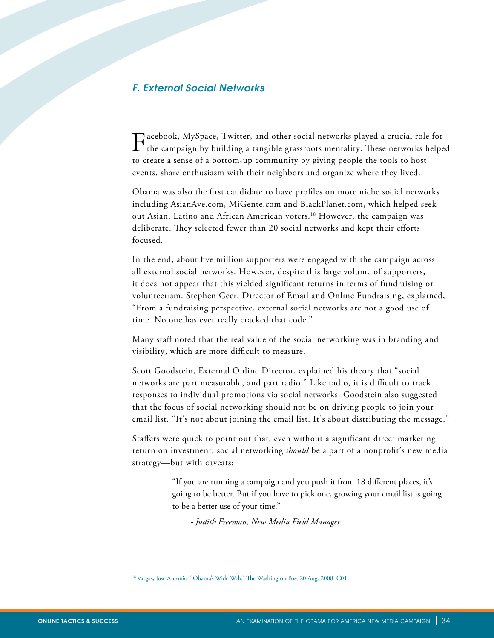### *F. External Social Networks*

Facebook, MySpace, Twitter, and other social networks played a crucial role for the campaign by building a tangible grassroots mentality. These networks helped to create a sense of a bottom-up community by giving people the tools to host events, share enthusiasm with their neighbors and organize where they lived.

Obama was also the first candidate to have profiles on more niche social networks including AsianAve.com, MiGente.com and BlackPlanet.com, which helped seek out Asian, Latino and African American voters.18 However, the campaign was deliberate. They selected fewer than 20 social networks and kept their efforts focused.

In the end, about five million supporters were engaged with the campaign across all external social networks. However, despite this large volume of supporters, it does not appear that this yielded significant returns in terms of fundraising or volunteerism. Stephen Geer, Director of Email and Online Fundraising, explained, "From a fundraising perspective, external social networks are not a good use of time. No one has ever really cracked that code."

Many staff noted that the real value of the social networking was in branding and visibility, which are more difficult to measure.

Scott Goodstein, External Online Director, explained his theory that "social networks are part measurable, and part radio." Like radio, it is difficult to track responses to individual promotions via social networks. Goodstein also suggested that the focus of social networking should not be on driving people to join your email list. "It's not about joining the email list. It's about distributing the message."

Staffers were quick to point out that, even without a significant direct marketing return on investment, social networking *should* be a part of a nonprofit's new media strategy—but with caveats:

> "If you are running a campaign and you push it from 18 different places, it's going to be better. But if you have to pick one, growing your email list is going to be a better use of your time."

*- Judith Freeman, New Media Field Manager*

<sup>18</sup> Vargas, Jose Antonio. "Obama's Wide Web." The Washington Post 20 Aug. 2008: C01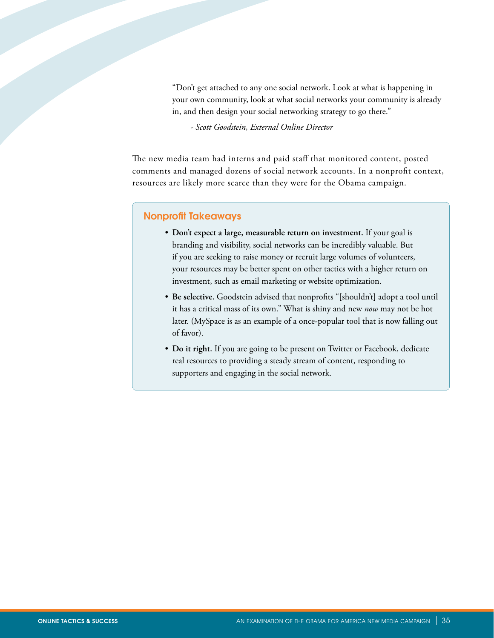"Don't get attached to any one social network. Look at what is happening in your own community, look at what social networks your community is already in, and then design your social networking strategy to go there."

*- Scott Goodstein, External Online Director*

The new media team had interns and paid staff that monitored content, posted comments and managed dozens of social network accounts. In a nonprofit context, resources are likely more scarce than they were for the Obama campaign.

### Nonprofit Takeaways

- • **Don't expect a large, measurable return on investment.** If your goal is branding and visibility, social networks can be incredibly valuable. But if you are seeking to raise money or recruit large volumes of volunteers, your resources may be better spent on other tactics with a higher return on investment, such as email marketing or website optimization.
- • **Be selective.** Goodstein advised that nonprofits "[shouldn't] adopt a tool until it has a critical mass of its own." What is shiny and new *now* may not be hot later. (MySpace is as an example of a once-popular tool that is now falling out of favor).
- Do it right. If you are going to be present on Twitter or Facebook, dedicate real resources to providing a steady stream of content, responding to supporters and engaging in the social network.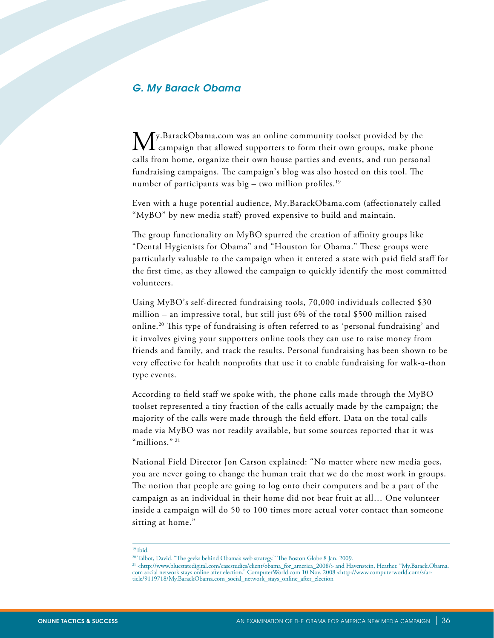### *G. My Barack Obama*

My.BarackObama.com was an online community toolset provided by the campaign that allowed supporters to form their own groups, make phone calls from home, organize their own house parties and events, and run personal fundraising campaigns. The campaign's blog was also hosted on this tool. The number of participants was big – two million profiles.<sup>19</sup>

Even with a huge potential audience, My.BarackObama.com (affectionately called "MyBO" by new media staff) proved expensive to build and maintain.

The group functionality on MyBO spurred the creation of affinity groups like "Dental Hygienists for Obama" and "Houston for Obama." These groups were particularly valuable to the campaign when it entered a state with paid field staff for the first time, as they allowed the campaign to quickly identify the most committed volunteers.

Using MyBO's self-directed fundraising tools, 70,000 individuals collected \$30 million – an impressive total, but still just 6% of the total \$500 million raised online.20 This type of fundraising is often referred to as 'personal fundraising' and it involves giving your supporters online tools they can use to raise money from friends and family, and track the results. Personal fundraising has been shown to be very effective for health nonprofits that use it to enable fundraising for walk-a-thon type events.

According to field staff we spoke with, the phone calls made through the MyBO toolset represented a tiny fraction of the calls actually made by the campaign; the majority of the calls were made through the field effort. Data on the total calls made via MyBO was not readily available, but some sources reported that it was "millions."<sup>21</sup>

National Field Director Jon Carson explained: "No matter where new media goes, you are never going to change the human trait that we do the most work in groups. The notion that people are going to log onto their computers and be a part of the campaign as an individual in their home did not bear fruit at all… One volunteer inside a campaign will do 50 to 100 times more actual voter contact than someone sitting at home."

<sup>19</sup> Ibid.

<sup>20</sup> Talbot, David. "The geeks behind Obama's web strategy." The Boston Globe 8 Jan. 2009.

<sup>&</sup>lt;sup>21</sup> <http://www.bluestatedigital.com/casestudies/client/obama\_for\_america\_2008/> and Havenstein, Heather. "My.Barack.Obama. com social network stays online after election." ComputerWorld.com 10 Nov. 2008 <http://www.computerworld.com/s/article/9119718/My.BarackObama.com\_social\_network\_stays\_online\_after\_election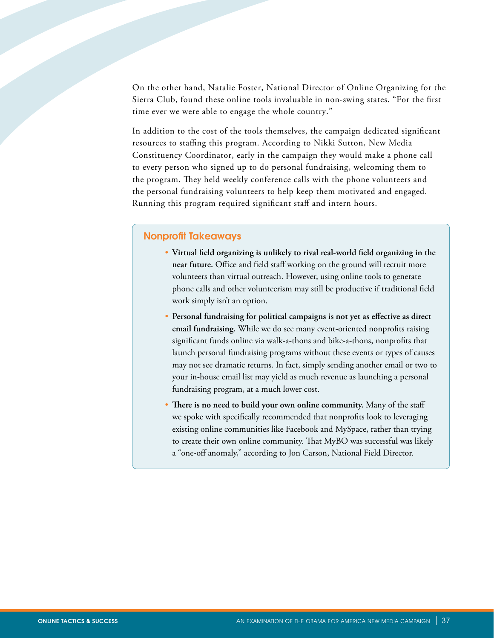On the other hand, Natalie Foster, National Director of Online Organizing for the Sierra Club, found these online tools invaluable in non-swing states. "For the first time ever we were able to engage the whole country."

In addition to the cost of the tools themselves, the campaign dedicated significant resources to staffing this program. According to Nikki Sutton, New Media Constituency Coordinator, early in the campaign they would make a phone call to every person who signed up to do personal fundraising, welcoming them to the program. They held weekly conference calls with the phone volunteers and the personal fundraising volunteers to help keep them motivated and engaged. Running this program required significant staff and intern hours.

### Nonprofit Takeaways

- **Virtual field organizing is unlikely to rival real-world field organizing in the near future.** Office and field staff working on the ground will recruit more volunteers than virtual outreach. However, using online tools to generate phone calls and other volunteerism may still be productive if traditional field work simply isn't an option.
- **Personal fundraising for political campaigns is not yet as effective as direct email fundraising.** While we do see many event-oriented nonprofits raising significant funds online via walk-a-thons and bike-a-thons, nonprofits that launch personal fundraising programs without these events or types of causes may not see dramatic returns. In fact, simply sending another email or two to your in-house email list may yield as much revenue as launching a personal fundraising program, at a much lower cost.
- **There is no need to build your own online community.** Many of the staff we spoke with specifically recommended that nonprofits look to leveraging existing online communities like Facebook and MySpace, rather than trying to create their own online community. That MyBO was successful was likely a "one-off anomaly," according to Jon Carson, National Field Director.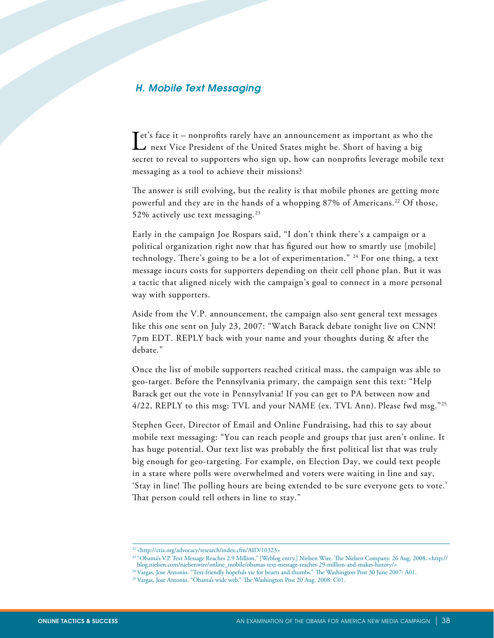### *H. Mobile Text Messaging*

Let's face it – nonprofits rarely have an announcement as important as who t<br>next Vice President of the United States might be. Short of having a big Tet's face it – nonprofits rarely have an announcement as important as who the secret to reveal to supporters who sign up, how can nonprofits leverage mobile text messaging as a tool to achieve their missions?

The answer is still evolving, but the reality is that mobile phones are getting more powerful and they are in the hands of a whopping 87% of Americans.22 Of those, 52% actively use text messaging.<sup>23</sup>

Early in the campaign Joe Rospars said, "I don't think there's a campaign or a political organization right now that has figured out how to smartly use [mobile] technology. There's going to be a lot of experimentation." 24 For one thing, a text message incurs costs for supporters depending on their cell phone plan. But it was a tactic that aligned nicely with the campaign's goal to connect in a more personal way with supporters.

Aside from the V.P. announcement, the campaign also sent general text messages like this one sent on July 23, 2007: "Watch Barack debate tonight live on CNN! 7pm EDT. REPLY back with your name and your thoughts during & after the debate."

Once the list of mobile supporters reached critical mass, the campaign was able to geo-target. Before the Pennsylvania primary, the campaign sent this text: "Help Barack get out the vote in Pennsylvania! If you can get to PA between now and 4/22, REPLY to this msg: TVL and your NAME (ex. TVL Ann). Please fwd msg."<sup>25</sup>

Stephen Geer, Director of Email and Online Fundraising, had this to say about mobile text messaging: "You can reach people and groups that just aren't online. It has huge potential. Our text list was probably the first political list that was truly big enough for geo-targeting. For example, on Election Day, we could text people in a state where polls were overwhelmed and voters were waiting in line and say, 'Stay in line! The polling hours are being extended to be sure everyone gets to vote.' That person could tell others in line to stay."

<sup>22</sup> <http://ctia.org/advocacy/research/index.cfm/AID/10323>

<sup>23</sup> "Obama's V.P. Text Message Reaches 2.9 Million." [Weblog entry.] Nielsen Wire. The Nielsen Company. 26 Aug. 2008. <http:// blog.nielsen.com/nielsenwire/online\_mobile/obamas-text-message-reaches-29-million-and-makes-history/>

<sup>&</sup>lt;sup>24</sup> Vargas, Jose Antonio. "Text-friendly hopefuls vie for hearts and thumbs." The Washington Post 30 June 2007: A01.

<sup>25</sup> Vargas, Jose Antonio. "Obama's wide web." The Washington Post 20 Aug. 2008: C01.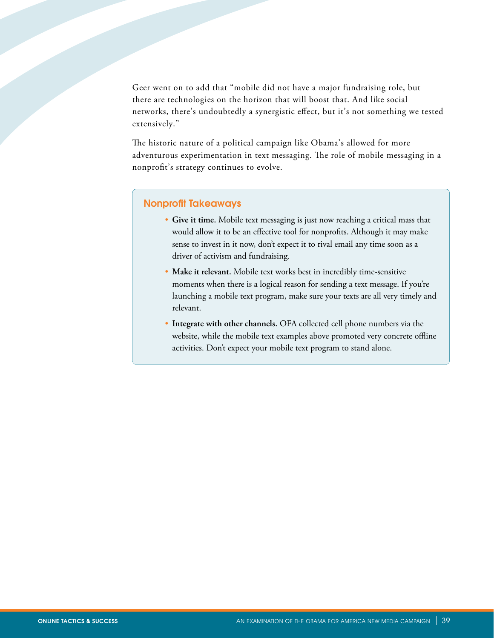Geer went on to add that "mobile did not have a major fundraising role, but there are technologies on the horizon that will boost that. And like social networks, there's undoubtedly a synergistic effect, but it's not something we tested extensively."

The historic nature of a political campaign like Obama's allowed for more adventurous experimentation in text messaging. The role of mobile messaging in a nonprofit's strategy continues to evolve.

### Nonprofit Takeaways

- **Give it time.** Mobile text messaging is just now reaching a critical mass that would allow it to be an effective tool for nonprofits. Although it may make sense to invest in it now, don't expect it to rival email any time soon as a driver of activism and fundraising.
- **Make it relevant.** Mobile text works best in incredibly time-sensitive moments when there is a logical reason for sending a text message. If you're launching a mobile text program, make sure your texts are all very timely and relevant.
- **Integrate with other channels.** OFA collected cell phone numbers via the website, while the mobile text examples above promoted very concrete offline activities. Don't expect your mobile text program to stand alone.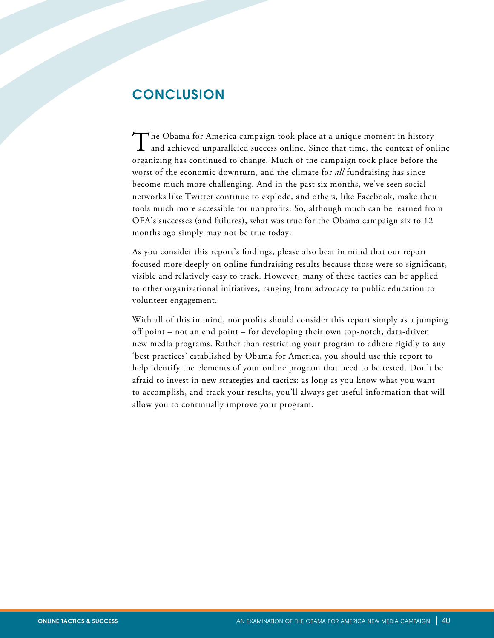# **CONCLUSION**

The Obama for America campaign took place at a unique moment in history<br>and achieved unparalleled success online. Since that time, the context of online organizing has continued to change. Much of the campaign took place before the worst of the economic downturn, and the climate for *all* fundraising has since become much more challenging. And in the past six months, we've seen social networks like Twitter continue to explode, and others, like Facebook, make their tools much more accessible for nonprofits. So, although much can be learned from OFA's successes (and failures), what was true for the Obama campaign six to 12 months ago simply may not be true today.

As you consider this report's findings, please also bear in mind that our report focused more deeply on online fundraising results because those were so significant, visible and relatively easy to track. However, many of these tactics can be applied to other organizational initiatives, ranging from advocacy to public education to volunteer engagement.

With all of this in mind, nonprofits should consider this report simply as a jumping off point – not an end point – for developing their own top-notch, data-driven new media programs. Rather than restricting your program to adhere rigidly to any 'best practices' established by Obama for America, you should use this report to help identify the elements of your online program that need to be tested. Don't be afraid to invest in new strategies and tactics: as long as you know what you want to accomplish, and track your results, you'll always get useful information that will allow you to continually improve your program.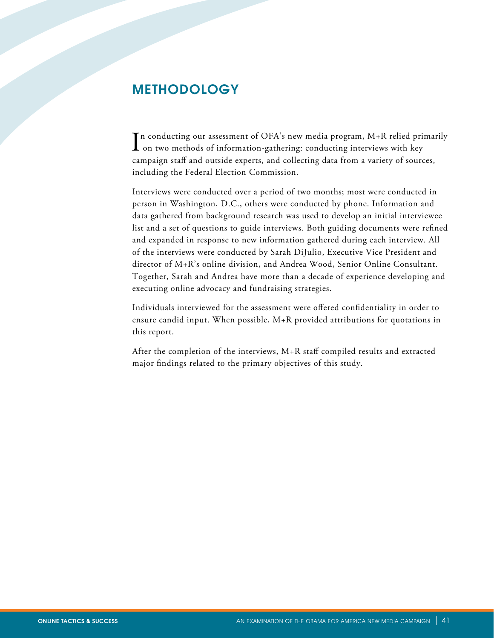# **METHODOLOGY**

In conducting our assessment of OFA's new media program, M+R relied prior on two methods of information-gathering: conducting interviews with key n conducting our assessment of OFA's new media program, M+R relied primarily campaign staff and outside experts, and collecting data from a variety of sources, including the Federal Election Commission.

Interviews were conducted over a period of two months; most were conducted in person in Washington, D.C., others were conducted by phone. Information and data gathered from background research was used to develop an initial interviewee list and a set of questions to guide interviews. Both guiding documents were refined and expanded in response to new information gathered during each interview. All of the interviews were conducted by Sarah DiJulio, Executive Vice President and director of M+R's online division, and Andrea Wood, Senior Online Consultant. Together, Sarah and Andrea have more than a decade of experience developing and executing online advocacy and fundraising strategies.

Individuals interviewed for the assessment were offered confidentiality in order to ensure candid input. When possible, M+R provided attributions for quotations in this report.

After the completion of the interviews, M+R staff compiled results and extracted major findings related to the primary objectives of this study.